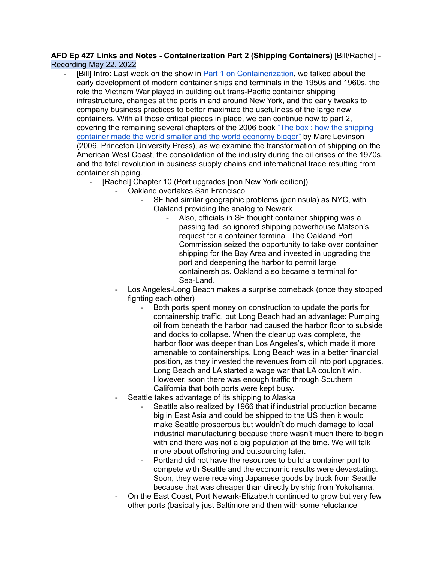## **AFD Ep 427 Links and Notes - Containerization Part 2 (Shipping Containers)** [Bill/Rachel] - Recording May 22, 2022

- [Bill] Intro: Last week on the show in Part 1 on [Containerization,](http://arsenalfordemocracy.com/2022/05/16/may-15-2022-containerization-part-1-arsenal-for-democracy-ep-426/) we talked about the early development of modern container ships and terminals in the 1950s and 1960s, the role the Vietnam War played in building out trans-Pacific container shipping infrastructure, changes at the ports in and around New York, and the early tweaks to company business practices to better maximize the usefulness of the large new containers. With all those critical pieces in place, we can continue now to part 2, covering the remaining several chapters of the 2006 book "The box: how the [shipping](https://archive.org/details/boxhowshippin00levi) [container](https://archive.org/details/boxhowshippin00levi) made the world smaller and the world economy bigger" by Marc Levinson (2006, Princeton University Press), as we examine the transformation of shipping on the American West Coast, the consolidation of the industry during the oil crises of the 1970s, and the total revolution in business supply chains and international trade resulting from container shipping.
	- [Rachel] Chapter 10 (Port upgrades [non New York edition])
		- Oakland overtakes San Francisco
			- SF had similar geographic problems (peninsula) as NYC, with Oakland providing the analog to Newark
				- Also, officials in SF thought container shipping was a passing fad, so ignored shipping powerhouse Matson's request for a container terminal. The Oakland Port Commission seized the opportunity to take over container shipping for the Bay Area and invested in upgrading the port and deepening the harbor to permit large containerships. Oakland also became a terminal for Sea-Land.
		- Los Angeles-Long Beach makes a surprise comeback (once they stopped fighting each other)
			- Both ports spent money on construction to update the ports for containership traffic, but Long Beach had an advantage: Pumping oil from beneath the harbor had caused the harbor floor to subside and docks to collapse. When the cleanup was complete, the harbor floor was deeper than Los Angeles's, which made it more amenable to containerships. Long Beach was in a better financial position, as they invested the revenues from oil into port upgrades. Long Beach and LA started a wage war that LA couldn't win. However, soon there was enough traffic through Southern California that both ports were kept busy.
		- Seattle takes advantage of its shipping to Alaska
			- Seattle also realized by 1966 that if industrial production became big in East Asia and could be shipped to the US then it would make Seattle prosperous but wouldn't do much damage to local industrial manufacturing because there wasn't much there to begin with and there was not a big population at the time. We will talk more about offshoring and outsourcing later.
			- Portland did not have the resources to build a container port to compete with Seattle and the economic results were devastating. Soon, they were receiving Japanese goods by truck from Seattle because that was cheaper than directly by ship from Yokohama.
		- On the East Coast, Port Newark-Elizabeth continued to grow but very few other ports (basically just Baltimore and then with some reluctance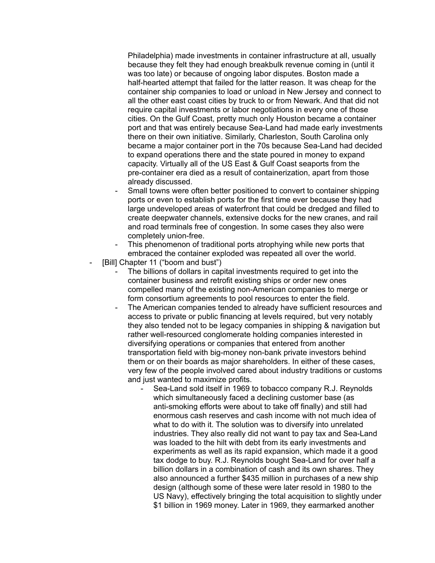Philadelphia) made investments in container infrastructure at all, usually because they felt they had enough breakbulk revenue coming in (until it was too late) or because of ongoing labor disputes. Boston made a half-hearted attempt that failed for the latter reason. It was cheap for the container ship companies to load or unload in New Jersey and connect to all the other east coast cities by truck to or from Newark. And that did not require capital investments or labor negotiations in every one of those cities. On the Gulf Coast, pretty much only Houston became a container port and that was entirely because Sea-Land had made early investments there on their own initiative. Similarly, Charleston, South Carolina only became a major container port in the 70s because Sea-Land had decided to expand operations there and the state poured in money to expand capacity. Virtually all of the US East & Gulf Coast seaports from the pre-container era died as a result of containerization, apart from those already discussed.

- Small towns were often better positioned to convert to container shipping ports or even to establish ports for the first time ever because they had large undeveloped areas of waterfront that could be dredged and filled to create deepwater channels, extensive docks for the new cranes, and rail and road terminals free of congestion. In some cases they also were completely union-free.
- This phenomenon of traditional ports atrophying while new ports that embraced the container exploded was repeated all over the world.
- [Bill] Chapter 11 ("boom and bust")
	- The billions of dollars in capital investments required to get into the container business and retrofit existing ships or order new ones compelled many of the existing non-American companies to merge or form consortium agreements to pool resources to enter the field.
	- The American companies tended to already have sufficient resources and access to private or public financing at levels required, but very notably they also tended not to be legacy companies in shipping & navigation but rather well-resourced conglomerate holding companies interested in diversifying operations or companies that entered from another transportation field with big-money non-bank private investors behind them or on their boards as major shareholders. In either of these cases, very few of the people involved cared about industry traditions or customs and just wanted to maximize profits.
		- Sea-Land sold itself in 1969 to tobacco company R.J. Reynolds which simultaneously faced a declining customer base (as anti-smoking efforts were about to take off finally) and still had enormous cash reserves and cash income with not much idea of what to do with it. The solution was to diversify into unrelated industries. They also really did not want to pay tax and Sea-Land was loaded to the hilt with debt from its early investments and experiments as well as its rapid expansion, which made it a good tax dodge to buy. R.J. Reynolds bought Sea-Land for over half a billion dollars in a combination of cash and its own shares. They also announced a further \$435 million in purchases of a new ship design (although some of these were later resold in 1980 to the US Navy), effectively bringing the total acquisition to slightly under \$1 billion in 1969 money. Later in 1969, they earmarked another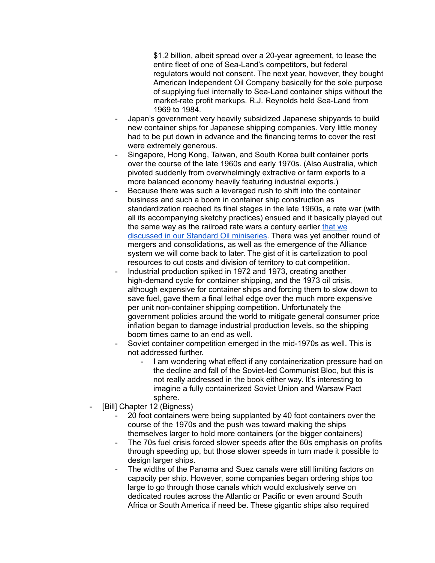\$1.2 billion, albeit spread over a 20-year agreement, to lease the entire fleet of one of Sea-Land's competitors, but federal regulators would not consent. The next year, however, they bought American Independent Oil Company basically for the sole purpose of supplying fuel internally to Sea-Land container ships without the market-rate profit markups. R.J. Reynolds held Sea-Land from 1969 to 1984.

- Japan's government very heavily subsidized Japanese shipyards to build new container ships for Japanese shipping companies. Very little money had to be put down in advance and the financing terms to cover the rest were extremely generous.
- Singapore, Hong Kong, Taiwan, and South Korea built container ports over the course of the late 1960s and early 1970s. (Also Australia, which pivoted suddenly from overwhelmingly extractive or farm exports to a more balanced economy heavily featuring industrial exports.)
- Because there was such a leveraged rush to shift into the container business and such a boom in container ship construction as standardization reached its final stages in the late 1960s, a rate war (with all its accompanying sketchy practices) ensued and it basically played out the same way as the railroad rate wars a century earlier [that](http://arsenalfordemocracy.com/2020/05/12/may-10-2020-the-early-us-oil-industry-part-3-rail-rate-wars-arsenal-for-democracy-ep-307/) we discussed in our Standard Oil [miniseries](http://arsenalfordemocracy.com/2020/05/12/may-10-2020-the-early-us-oil-industry-part-3-rail-rate-wars-arsenal-for-democracy-ep-307/). There was yet another round of mergers and consolidations, as well as the emergence of the Alliance system we will come back to later. The gist of it is cartelization to pool resources to cut costs and division of territory to cut competition.
- Industrial production spiked in 1972 and 1973, creating another high-demand cycle for container shipping, and the 1973 oil crisis, although expensive for container ships and forcing them to slow down to save fuel, gave them a final lethal edge over the much more expensive per unit non-container shipping competition. Unfortunately the government policies around the world to mitigate general consumer price inflation began to damage industrial production levels, so the shipping boom times came to an end as well.
- Soviet container competition emerged in the mid-1970s as well. This is not addressed further.
	- I am wondering what effect if any containerization pressure had on the decline and fall of the Soviet-led Communist Bloc, but this is not really addressed in the book either way. It's interesting to imagine a fully containerized Soviet Union and Warsaw Pact sphere.
- [Bill] Chapter 12 (Bigness)
	- 20 foot containers were being supplanted by 40 foot containers over the course of the 1970s and the push was toward making the ships themselves larger to hold more containers (or the bigger containers)
	- The 70s fuel crisis forced slower speeds after the 60s emphasis on profits through speeding up, but those slower speeds in turn made it possible to design larger ships.
	- The widths of the Panama and Suez canals were still limiting factors on capacity per ship. However, some companies began ordering ships too large to go through those canals which would exclusively serve on dedicated routes across the Atlantic or Pacific or even around South Africa or South America if need be. These gigantic ships also required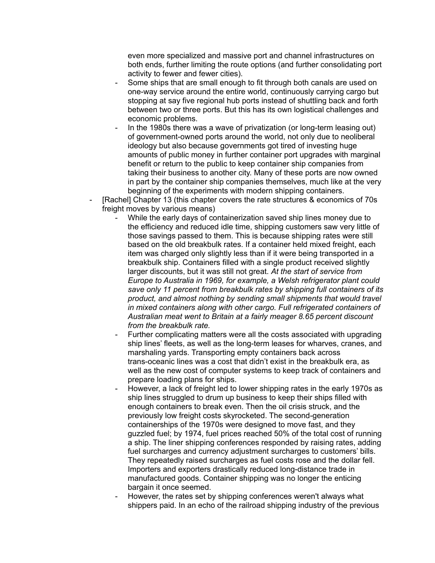even more specialized and massive port and channel infrastructures on both ends, further limiting the route options (and further consolidating port activity to fewer and fewer cities).

- Some ships that are small enough to fit through both canals are used on one-way service around the entire world, continuously carrying cargo but stopping at say five regional hub ports instead of shuttling back and forth between two or three ports. But this has its own logistical challenges and economic problems.
- In the 1980s there was a wave of privatization (or long-term leasing out) of government-owned ports around the world, not only due to neoliberal ideology but also because governments got tired of investing huge amounts of public money in further container port upgrades with marginal benefit or return to the public to keep container ship companies from taking their business to another city. Many of these ports are now owned in part by the container ship companies themselves, much like at the very beginning of the experiments with modern shipping containers.
- [Rachel] Chapter 13 (this chapter covers the rate structures & economics of 70s freight moves by various means)
	- While the early days of containerization saved ship lines money due to the efficiency and reduced idle time, shipping customers saw very little of those savings passed to them. This is because shipping rates were still based on the old breakbulk rates. If a container held mixed freight, each item was charged only slightly less than if it were being transported in a breakbulk ship. Containers filled with a single product received slightly larger discounts, but it was still not great. *At the start of service from Europe to Australia in 1969, for example, a Welsh refrigerator plant could save only 11 percent from breakbulk rates by shipping full containers of its product, and almost nothing by sending small shipments that would travel in mixed containers along with other cargo. Full refrigerated containers of Australian meat went to Britain at a fairly meager 8.65 percent discount from the breakbulk rate.*
	- Further complicating matters were all the costs associated with upgrading ship lines' fleets, as well as the long-term leases for wharves, cranes, and marshaling yards. Transporting empty containers back across trans-oceanic lines was a cost that didn't exist in the breakbulk era, as well as the new cost of computer systems to keep track of containers and prepare loading plans for ships.
	- However, a lack of freight led to lower shipping rates in the early 1970s as ship lines struggled to drum up business to keep their ships filled with enough containers to break even. Then the oil crisis struck, and the previously low freight costs skyrocketed. The second-generation containerships of the 1970s were designed to move fast, and they guzzled fuel; by 1974, fuel prices reached 50% of the total cost of running a ship. The liner shipping conferences responded by raising rates, adding fuel surcharges and currency adjustment surcharges to customers' bills. They repeatedly raised surcharges as fuel costs rose and the dollar fell. Importers and exporters drastically reduced long-distance trade in manufactured goods. Container shipping was no longer the enticing bargain it once seemed.
	- However, the rates set by shipping conferences weren't always what shippers paid. In an echo of the railroad shipping industry of the previous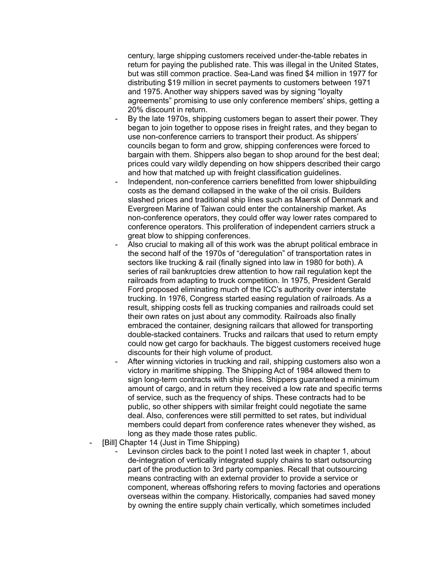century, large shipping customers received under-the-table rebates in return for paying the published rate. This was illegal in the United States, but was still common practice. Sea-Land was fined \$4 million in 1977 for distributing \$19 million in secret payments to customers between 1971 and 1975. Another way shippers saved was by signing "loyalty agreements" promising to use only conference members' ships, getting a 20% discount in return.

- By the late 1970s, shipping customers began to assert their power. They began to join together to oppose rises in freight rates, and they began to use non-conference carriers to transport their product. As shippers' councils began to form and grow, shipping conferences were forced to bargain with them. Shippers also began to shop around for the best deal; prices could vary wildly depending on how shippers described their cargo and how that matched up with freight classification guidelines.
- Independent, non-conference carriers benefitted from lower shipbuilding costs as the demand collapsed in the wake of the oil crisis. Builders slashed prices and traditional ship lines such as Maersk of Denmark and Evergreen Marine of Taiwan could enter the containership market. As non-conference operators, they could offer way lower rates compared to conference operators. This proliferation of independent carriers struck a great blow to shipping conferences.
- Also crucial to making all of this work was the abrupt political embrace in the second half of the 1970s of "deregulation" of transportation rates in sectors like trucking & rail (finally signed into law in 1980 for both). A series of rail bankruptcies drew attention to how rail regulation kept the railroads from adapting to truck competition. In 1975, President Gerald Ford proposed eliminating much of the ICC's authority over interstate trucking. In 1976, Congress started easing regulation of railroads. As a result, shipping costs fell as trucking companies and railroads could set their own rates on just about any commodity. Railroads also finally embraced the container, designing railcars that allowed for transporting double-stacked containers. Trucks and railcars that used to return empty could now get cargo for backhauls. The biggest customers received huge discounts for their high volume of product.
- After winning victories in trucking and rail, shipping customers also won a victory in maritime shipping. The Shipping Act of 1984 allowed them to sign long-term contracts with ship lines. Shippers guaranteed a minimum amount of cargo, and in return they received a low rate and specific terms of service, such as the frequency of ships. These contracts had to be public, so other shippers with similar freight could negotiate the same deal. Also, conferences were still permitted to set rates, but individual members could depart from conference rates whenever they wished, as long as they made those rates public.
- [Bill] Chapter 14 (Just in Time Shipping)
	- Levinson circles back to the point I noted last week in chapter 1, about de-integration of vertically integrated supply chains to start outsourcing part of the production to 3rd party companies. Recall that outsourcing means contracting with an external provider to provide a service or component, whereas offshoring refers to moving factories and operations overseas within the company. Historically, companies had saved money by owning the entire supply chain vertically, which sometimes included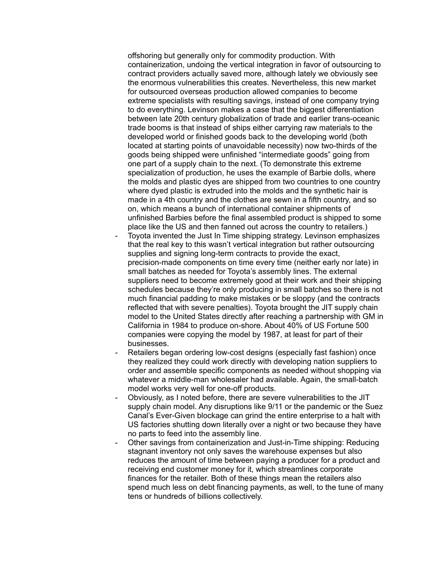offshoring but generally only for commodity production. With containerization, undoing the vertical integration in favor of outsourcing to contract providers actually saved more, although lately we obviously see the enormous vulnerabilities this creates. Nevertheless, this new market for outsourced overseas production allowed companies to become extreme specialists with resulting savings, instead of one company trying to do everything. Levinson makes a case that the biggest differentiation between late 20th century globalization of trade and earlier trans-oceanic trade booms is that instead of ships either carrying raw materials to the developed world or finished goods back to the developing world (both located at starting points of unavoidable necessity) now two-thirds of the goods being shipped were unfinished "intermediate goods" going from one part of a supply chain to the next. (To demonstrate this extreme specialization of production, he uses the example of Barbie dolls, where the molds and plastic dyes are shipped from two countries to one country where dyed plastic is extruded into the molds and the synthetic hair is made in a 4th country and the clothes are sewn in a fifth country, and so on, which means a bunch of international container shipments of unfinished Barbies before the final assembled product is shipped to some place like the US and then fanned out across the country to retailers.)

- Toyota invented the Just In Time shipping strategy. Levinson emphasizes that the real key to this wasn't vertical integration but rather outsourcing supplies and signing long-term contracts to provide the exact, precision-made components on time every time (neither early nor late) in small batches as needed for Toyota's assembly lines. The external suppliers need to become extremely good at their work and their shipping schedules because they're only producing in small batches so there is not much financial padding to make mistakes or be sloppy (and the contracts reflected that with severe penalties). Toyota brought the JIT supply chain model to the United States directly after reaching a partnership with GM in California in 1984 to produce on-shore. About 40% of US Fortune 500 companies were copying the model by 1987, at least for part of their businesses.
- Retailers began ordering low-cost designs (especially fast fashion) once they realized they could work directly with developing nation suppliers to order and assemble specific components as needed without shopping via whatever a middle-man wholesaler had available. Again, the small-batch model works very well for one-off products.
- Obviously, as I noted before, there are severe vulnerabilities to the JIT supply chain model. Any disruptions like 9/11 or the pandemic or the Suez Canal's Ever-Given blockage can grind the entire enterprise to a halt with US factories shutting down literally over a night or two because they have no parts to feed into the assembly line.
- Other savings from containerization and Just-in-Time shipping: Reducing stagnant inventory not only saves the warehouse expenses but also reduces the amount of time between paying a producer for a product and receiving end customer money for it, which streamlines corporate finances for the retailer. Both of these things mean the retailers also spend much less on debt financing payments, as well, to the tune of many tens or hundreds of billions collectively.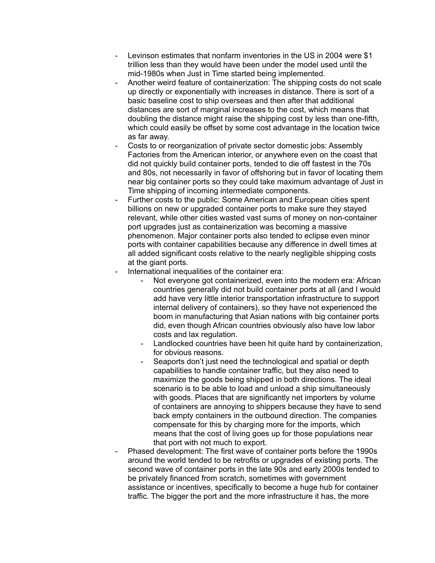- Levinson estimates that nonfarm inventories in the US in 2004 were \$1 trillion less than they would have been under the model used until the mid-1980s when Just in Time started being implemented.
- Another weird feature of containerization: The shipping costs do not scale up directly or exponentially with increases in distance. There is sort of a basic baseline cost to ship overseas and then after that additional distances are sort of marginal increases to the cost, which means that doubling the distance might raise the shipping cost by less than one-fifth, which could easily be offset by some cost advantage in the location twice as far away.
- Costs to or reorganization of private sector domestic jobs: Assembly Factories from the American interior, or anywhere even on the coast that did not quickly build container ports, tended to die off fastest in the 70s and 80s, not necessarily in favor of offshoring but in favor of locating them near big container ports so they could take maximum advantage of Just in Time shipping of incoming intermediate components.
- Further costs to the public: Some American and European cities spent billions on new or upgraded container ports to make sure they stayed relevant, while other cities wasted vast sums of money on non-container port upgrades just as containerization was becoming a massive phenomenon. Major container ports also tended to eclipse even minor ports with container capabilities because any difference in dwell times at all added significant costs relative to the nearly negligible shipping costs at the giant ports.
- International inequalities of the container era:
	- Not everyone got containerized, even into the modern era: African countries generally did not build container ports at all (and I would add have very little interior transportation infrastructure to support internal delivery of containers), so they have not experienced the boom in manufacturing that Asian nations with big container ports did, even though African countries obviously also have low labor costs and lax regulation.
	- Landlocked countries have been hit quite hard by containerization, for obvious reasons.
	- Seaports don't just need the technological and spatial or depth capabilities to handle container traffic, but they also need to maximize the goods being shipped in both directions. The ideal scenario is to be able to load and unload a ship simultaneously with goods. Places that are significantly net importers by volume of containers are annoying to shippers because they have to send back empty containers in the outbound direction. The companies compensate for this by charging more for the imports, which means that the cost of living goes up for those populations near that port with not much to export.
- Phased development: The first wave of container ports before the 1990s around the world tended to be retrofits or upgrades of existing ports. The second wave of container ports in the late 90s and early 2000s tended to be privately financed from scratch, sometimes with government assistance or incentives, specifically to become a huge hub for container traffic. The bigger the port and the more infrastructure it has, the more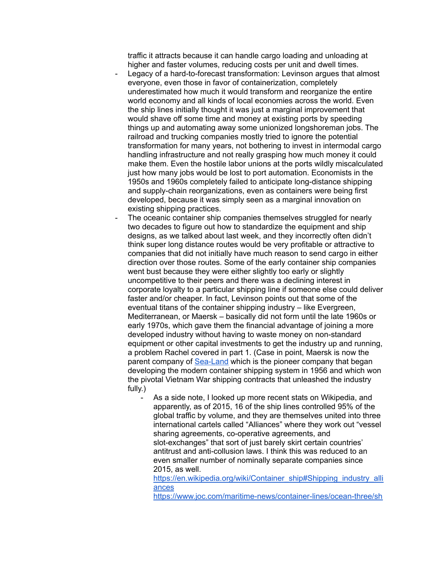traffic it attracts because it can handle cargo loading and unloading at higher and faster volumes, reducing costs per unit and dwell times.

- Legacy of a hard-to-forecast transformation: Levinson argues that almost everyone, even those in favor of containerization, completely underestimated how much it would transform and reorganize the entire world economy and all kinds of local economies across the world. Even the ship lines initially thought it was just a marginal improvement that would shave off some time and money at existing ports by speeding things up and automating away some unionized longshoreman jobs. The railroad and trucking companies mostly tried to ignore the potential transformation for many years, not bothering to invest in intermodal cargo handling infrastructure and not really grasping how much money it could make them. Even the hostile labor unions at the ports wildly miscalculated just how many jobs would be lost to port automation. Economists in the 1950s and 1960s completely failed to anticipate long-distance shipping and supply-chain reorganizations, even as containers were being first developed, because it was simply seen as a marginal innovation on existing shipping practices.
- The oceanic container ship companies themselves struggled for nearly two decades to figure out how to standardize the equipment and ship designs, as we talked about last week, and they incorrectly often didn't think super long distance routes would be very profitable or attractive to companies that did not initially have much reason to send cargo in either direction over those routes. Some of the early container ship companies went bust because they were either slightly too early or slightly uncompetitive to their peers and there was a declining interest in corporate loyalty to a particular shipping line if someone else could deliver faster and/or cheaper. In fact, Levinson points out that some of the eventual titans of the container shipping industry – like Evergreen, Mediterranean, or Maersk – basically did not form until the late 1960s or early 1970s, which gave them the financial advantage of joining a more developed industry without having to waste money on non-standard equipment or other capital investments to get the industry up and running, a problem Rachel covered in part 1. (Case in point, Maersk is now the parent company of [Sea-Land](https://en.wikipedia.org/wiki/SeaLand#History) which is the pioneer company that began developing the modern container shipping system in 1956 and which won the pivotal Vietnam War shipping contracts that unleashed the industry fully.)
	- As a side note, I looked up more recent stats on Wikipedia, and apparently, as of 2015, 16 of the ship lines controlled 95% of the global traffic by volume, and they are themselves united into three international cartels called "Alliances" where they work out "vessel sharing agreements, co-operative agreements, and slot-exchanges" that sort of just barely skirt certain countries' antitrust and anti-collusion laws. I think this was reduced to an even smaller number of nominally separate companies since 2015, as well.

[https://en.wikipedia.org/wiki/Container\\_ship#Shipping\\_industry\\_alli](https://en.wikipedia.org/wiki/Container_ship#Shipping_industry_alliances) [ances](https://en.wikipedia.org/wiki/Container_ship#Shipping_industry_alliances)

[https://www.joc.com/maritime-news/container-lines/ocean-three/sh](https://www.joc.com/maritime-news/container-lines/ocean-three/shippers-regulators-will-be-watching-closely-alliances-launch-services_20150107.html)